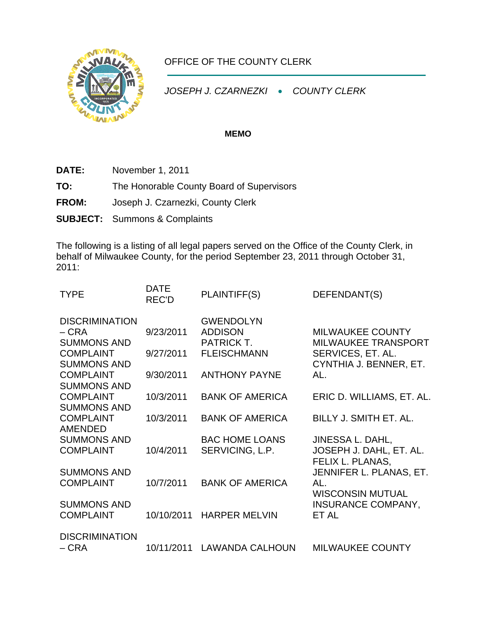

## OFFICE OF THE COUNTY CLERK

*JOSEPH J. CZARNEZKI* • *COUNTY CLERK* 

## **MEMO**

**DATE:** November 1, 2011

**TO:** The Honorable County Board of Supervisors

- **FROM:** Joseph J. Czarnezki, County Clerk
- **SUBJECT:** Summons & Complaints

The following is a listing of all legal papers served on the Office of the County Clerk, in behalf of Milwaukee County, for the period September 23, 2011 through October 31, 2011:

| <b>TYPE</b>                                                                                     | <b>DATE</b><br><b>REC'D</b> | PLAINTIFF(S)                                                                  | DEFENDANT(S)                                                               |
|-------------------------------------------------------------------------------------------------|-----------------------------|-------------------------------------------------------------------------------|----------------------------------------------------------------------------|
| <b>DISCRIMINATION</b><br>$-CRA$<br><b>SUMMONS AND</b><br><b>COMPLAINT</b><br><b>SUMMONS AND</b> | 9/23/2011<br>9/27/2011      | <b>GWENDOLYN</b><br><b>ADDISON</b><br><b>PATRICK T.</b><br><b>FLEISCHMANN</b> | <b>MILWAUKEE COUNTY</b><br><b>MILWAUKEE TRANSPORT</b><br>SERVICES, ET. AL. |
| <b>COMPLAINT</b><br><b>SUMMONS AND</b>                                                          | 9/30/2011                   | <b>ANTHONY PAYNE</b>                                                          | CYNTHIA J. BENNER, ET.<br>AL.                                              |
| <b>COMPLAINT</b><br><b>SUMMONS AND</b>                                                          | 10/3/2011                   | <b>BANK OF AMERICA</b>                                                        | ERIC D. WILLIAMS, ET. AL.                                                  |
| <b>COMPLAINT</b><br><b>AMENDED</b>                                                              | 10/3/2011                   | <b>BANK OF AMERICA</b>                                                        | BILLY J. SMITH ET. AL.                                                     |
| <b>SUMMONS AND</b><br><b>COMPLAINT</b>                                                          | 10/4/2011                   | <b>BAC HOME LOANS</b><br>SERVICING, L.P.                                      | JINESSA L. DAHL,<br>JOSEPH J. DAHL, ET. AL.<br>FELIX L. PLANAS,            |
| <b>SUMMONS AND</b><br><b>COMPLAINT</b>                                                          | 10/7/2011                   | <b>BANK OF AMERICA</b>                                                        | JENNIFER L. PLANAS, ET.<br>AL.<br><b>WISCONSIN MUTUAL</b>                  |
| <b>SUMMONS AND</b><br><b>COMPLAINT</b>                                                          | 10/10/2011                  | <b>HARPER MELVIN</b>                                                          | <b>INSURANCE COMPANY,</b><br>ET AL                                         |
| <b>DISCRIMINATION</b><br>– CRA                                                                  | 10/11/2011                  | <b>LAWANDA CALHOUN</b>                                                        | <b>MILWAUKEE COUNTY</b>                                                    |